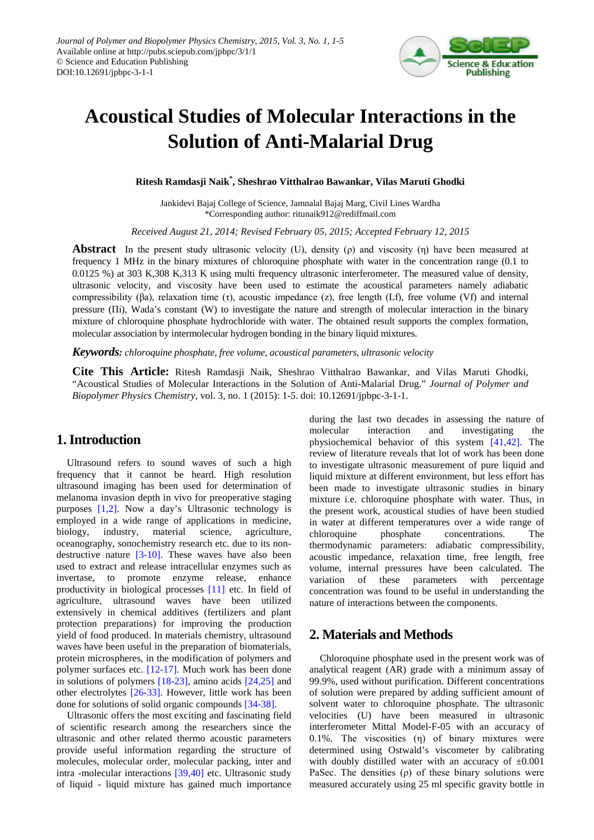

# **Acoustical Studies of Molecular Interactions in the Solution of Anti-Malarial Drug**

**Ritesh Ramdasji Naik\* , Sheshrao Vitthalrao Bawankar, Vilas Maruti Ghodki**

Jankidevi Bajaj College of Science, Jamnalal Bajaj Marg, Civil Lines Wardha \*Corresponding author: ritunaik912@rediffmail.com

*Received August 21, 2014; Revised February 05, 2015; Accepted February 12, 2015*

**Abstract** In the present study ultrasonic velocity (U), density (ρ) and viscosity (η) have been measured at frequency 1 MHz in the binary mixtures of chloroquine phosphate with water in the concentration range (0.1 to 0.0125 %) at 303 K,308 K,313 K using multi frequency ultrasonic interferometer. The measured value of density, ultrasonic velocity, and viscosity have been used to estimate the acoustical parameters namely adiabatic compressibility (βa), relaxation time (τ), acoustic impedance (z), free length (Lf), free volume (Vf) and internal pressure (Πi), Wada's constant (W) to investigate the nature and strength of molecular interaction in the binary mixture of chloroquine phosphate hydrochloride with water. The obtained result supports the complex formation, molecular association by intermolecular hydrogen bonding in the binary liquid mixtures.

*Keywords: chloroquine phosphate, free volume, acoustical parameters, ultrasonic velocity*

**Cite This Article:** Ritesh Ramdasji Naik, Sheshrao Vitthalrao Bawankar, and Vilas Maruti Ghodki, "Acoustical Studies of Molecular Interactions in the Solution of Anti-Malarial Drug." *Journal of Polymer and Biopolymer Physics Chemistry*, vol. 3, no. 1 (2015): 1-5. doi: 10.12691/jpbpc-3-1-1.

### **1. Introduction**

Ultrasound refers to sound waves of such a high frequency that it cannot be heard. High resolution ultrasound imaging has been used for determination of melanoma invasion depth in vivo for preoperative staging purposes [\[1,2\].](#page-4-0) Now a day's Ultrasonic technology is employed in a wide range of applications in medicine, biology, industry, material science, agriculture, oceanography, sonochemistry research etc. due to its nondestructive nature [\[3-10\].](#page-4-1) These waves have also been used to extract and release intracellular enzymes such as invertase, to promote enzyme release, enhance productivity in biological processes [\[11\]](#page-4-2) etc. In field of agriculture, ultrasound waves have been utilized extensively in chemical additives (fertilizers and plant protection preparations) for improving the production yield of food produced. In materials chemistry, ultrasound waves have been useful in the preparation of biomaterials, protein microspheres, in the modification of polymers and polymer surfaces etc. [\[12-17\].](#page-4-3) Much work has been done in solutions of polymers [\[18-23\],](#page-4-4) amino acids [\[24,25\]](#page-4-5) and other electrolytes [\[26-33\].](#page-4-6) However, little work has been done for solutions of solid organic compounds [\[34-38\].](#page-4-7)

Ultrasonic offers the most exciting and fascinating field of scientific research among the researchers since the ultrasonic and other related thermo acoustic parameters provide useful information regarding the structure of molecules, molecular order, molecular packing, inter and intra -molecular interactions [\[39,40\]](#page-4-8) etc. Ultrasonic study of liquid - liquid mixture has gained much importance during the last two decades in assessing the nature of molecular interaction and investigating the physiochemical behavior of this system [\[41,42\].](#page-4-9) The review of literature reveals that lot of work has been done to investigate ultrasonic measurement of pure liquid and liquid mixture at different environment, but less effort has been made to investigate ultrasonic studies in binary mixture i.e. chloroquine phosphate with water. Thus, in the present work, acoustical studies of have been studied in water at different temperatures over a wide range of chloroquine phosphate concentrations. The thermodynamic parameters: adiabatic compressibility, acoustic impedance, relaxation time, free length, free volume, internal pressures have been calculated. The variation of these parameters with percentage concentration was found to be useful in understanding the nature of interactions between the components.

## **2. Materials and Methods**

Chloroquine phosphate used in the present work was of analytical reagent (AR) grade with a minimum assay of 99.9%, used without purification. Different concentrations of solution were prepared by adding sufficient amount of solvent water to chloroquine phosphate. The ultrasonic velocities (U) have been measured in ultrasonic interferometer Mittal Model-F-05 with an accuracy of 0.1%. The viscosities (η) of binary mixtures were determined using Ostwald's viscometer by calibrating with doubly distilled water with an accuracy of  $\pm 0.001$ PaSec. The densities  $(\rho)$  of these binary solutions were measured accurately using 25 ml specific gravity bottle in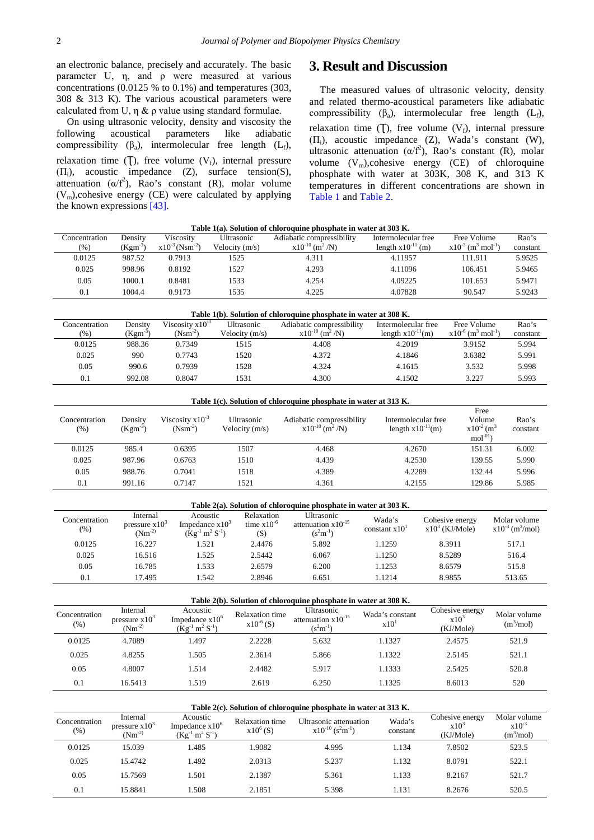an electronic balance, precisely and accurately. The basic parameter U, η, and ρ were measured at various concentrations (0.0125 % to 0.1%) and temperatures (303, 308 & 313 K). The various acoustical parameters were calculated from U,  $\eta \& \rho$  value using standard formulae.

On using ultrasonic velocity, density and viscosity the following acoustical parameters like adiabatic compressibility  $(\beta_a)$ , intermolecular free length  $(L_f)$ , relaxation time  $(T)$ , free volume  $(V<sub>f</sub>)$ , internal pressure  $(\Pi_i)$ , acoustic impedance  $(Z)$ , surface tension(S), attenuation  $(\alpha/f^2)$ , Rao's constant (R), molar volume  $(V_m)$ , cohesive energy (CE) were calculated by applying the known expressions [\[43\].](#page-4-10)

#### **3. Result and Discussion**

The measured values of ultrasonic velocity, density and related thermo-acoustical parameters like adiabatic compressibility  $(\beta_a)$ , intermolecular free length  $(L_f)$ , relaxation time  $(T)$ , free volume  $(V_f)$ , internal pressure  $(\Pi_i)$ , acoustic impedance  $(Z)$ , Wada's constant  $(W)$ , ultrasonic attenuation  $(\alpha/f^2)$ , Rao's constant (R), molar volume  $(V_m)$ ,cohesive energy (CE) of chloroquine phosphate with water at 303K, 308 K, and 313 K temperatures in different concentrations are shown in [Table 1](#page-1-0) and [Table 2.](#page-1-1)

<span id="page-1-0"></span>

| Table T(a), boldtion of chiofoquine phosphate in water at 505 IS. |            |                                 |                  |                                 |                        |                                                |          |  |  |  |
|-------------------------------------------------------------------|------------|---------------------------------|------------------|---------------------------------|------------------------|------------------------------------------------|----------|--|--|--|
| Concentration                                                     | Densitv    | Viscositv                       | Ultrasonic       | Adiabatic compressibility       | Intermolecular free    | Free Volume                                    | Rao's    |  |  |  |
| $(\% )$                                                           | $Kgm^{-3}$ | $x10^{-3}$ (Nsm <sup>-2</sup> ) | Velocity $(m/s)$ | $x10^{-10}$ (m <sup>2</sup> /N) | length $x10^{-11}$ (m) | $x10^{-3}$ (m <sup>3</sup> mol <sup>-1</sup> ) | constant |  |  |  |
| 0.0125                                                            | 987.52     | 0.7913                          | 1525             | 4.311                           | 4.11957                | 111.911                                        | 5.9525   |  |  |  |
| 0.025                                                             | 998.96     | 0.8192                          | 1527             | 4.293                           | 4.11096                | 106.451                                        | 5.9465   |  |  |  |
| 0.05                                                              | 1000.1     | 0.8481                          | 1533             | 4.254                           | 4.09225                | 101.653                                        | 5.9471   |  |  |  |
| 0.1                                                               | 1004.4     | 0.9173                          | 1535             | 4.225                           | 4.07828                | 90.547                                         | 5.9243   |  |  |  |
|                                                                   |            |                                 |                  |                                 |                        |                                                |          |  |  |  |

**Table 1(a). Solution of chloroquine phosphate in water at 303 K.**

<span id="page-1-1"></span>

| Table 1(b). Solution of chloroquine phosphate in water at 308 K. |              |                      |                  |                                 |                        |                                                |          |  |  |  |
|------------------------------------------------------------------|--------------|----------------------|------------------|---------------------------------|------------------------|------------------------------------------------|----------|--|--|--|
| Concentration                                                    | Densitv      | Viscosity $x10^{-3}$ | Ultrasonic       | Adiabatic compressibility       | Intermolecular free    | Free Volume                                    | Rao's    |  |  |  |
| (% )                                                             | $(Kgm^{-3})$ | $(Nsm^{-2})$         | Velocity $(m/s)$ | $x10^{-10}$ (m <sup>2</sup> /N) | length $x10^{-11}$ (m) | $x10^{-6}$ (m <sup>3</sup> mol <sup>-1</sup> ) | constant |  |  |  |
| 0.0125                                                           | 988.36       | 0.7349               | 1515             | 4.408                           | 4.2019                 | 3.9152                                         | 5.994    |  |  |  |
| 0.025                                                            | 990          | 0.7743               | 1520             | 4.372                           | 4.1846                 | 3.6382                                         | 5.991    |  |  |  |
| 0.05                                                             | 990.6        | 0.7939               | 1528             | 4.324                           | 4.1615                 | 3.532                                          | 5.998    |  |  |  |
| 0.1                                                              | 992.08       | 0.8047               | 1531             | 4.300                           | 4.1502                 | 3.227                                          | 5.993    |  |  |  |

**Table 1(c). Solution of chloroquine phosphate in water at 313 K.**

| Concentration<br>(%) | Density<br>$(Kgm^{-3})$ | Viscosity $x10^{-3}$<br>$(Nsm^{-2})$ | Ultrasonic<br>Velocity $(m/s)$ | Adiabatic compressibility<br>$x10^{-10}$ (m <sup>2</sup> /N) | Intermolecular free<br>length $x10^{-11}$ (m) | Free<br>Volume<br>$x10^{-2}$ (m <sup>3</sup><br>$mol-01$ | Rao's<br>constant |
|----------------------|-------------------------|--------------------------------------|--------------------------------|--------------------------------------------------------------|-----------------------------------------------|----------------------------------------------------------|-------------------|
| 0.0125               | 985.4                   | 0.6395                               | 1507                           | 4.468                                                        | 4.2670                                        | 151.31                                                   | 6.002             |
| 0.025                | 987.96                  | 0.6763                               | 1510                           | 4.439                                                        | 4.2530                                        | 139.55                                                   | 5.990             |
| 0.05                 | 988.76                  | 0.7041                               | 1518                           | 4.389                                                        | 4.2289                                        | 132.44                                                   | 5.996             |
| 0.1                  | 991.16                  | 0.7147                               | 1521                           | 4.361                                                        | 4.2155                                        | 129.86                                                   | 5.985             |

| Table 2(a). Solution of chloroquine phosphate in water at 303 K. |                                            |                                                        |                                      |                                                        |                           |                                     |                                                  |  |  |
|------------------------------------------------------------------|--------------------------------------------|--------------------------------------------------------|--------------------------------------|--------------------------------------------------------|---------------------------|-------------------------------------|--------------------------------------------------|--|--|
| Concentration<br>$(\% )$                                         | Internal<br>pressure $x103$<br>$(Nm^{-2})$ | Acoustic<br>Impedance $x103$<br>$(Kg^{-1} m^2 S^{-1})$ | Relaxation<br>time $x10^{-6}$<br>(S) | Ultrasonic<br>attenuation $x10^{-15}$<br>$(s^2m^{-1})$ | Wada's<br>constant $x101$ | Cohesive energy<br>$x103$ (KJ/Mole) | Molar volume<br>$x10^{-3}$ (m <sup>3</sup> /mol) |  |  |
| 0.0125                                                           | 16.227                                     | 1.521                                                  | 2.4476                               | 5.892                                                  | 1.1259                    | 8.3911                              | 517.1                                            |  |  |
| 0.025                                                            | 16.516                                     | 1.525                                                  | 2.5442                               | 6.067                                                  | 1.1250                    | 8.5289                              | 516.4                                            |  |  |
| 0.05                                                             | 16.785                                     | 1.533                                                  | 2.6579                               | 6.200                                                  | 1.1253                    | 8.6579                              | 515.8                                            |  |  |
| 0.1                                                              | 17.495                                     | 1.542                                                  | 2.8946                               | 6.651                                                  | 1.1214                    | 8.9855                              | 513.65                                           |  |  |

**Table 2(b). Solution of chloroquine phosphate in water at 308 K.**

| Concentration<br>(% ) | Internal<br>pressure $x103$<br>$(Nm^{-2})$ | Acoustic<br>Impedance $x10^6$<br>$(Kg^{-1} m^2 S^{-1})$ | <b>Relaxation time</b><br>$x10^{-6}$ (S) | Ultrasonic<br>attenuation $x10^{-15}$<br>$(s^2m^{-1})$ | Wada's constant<br>x10 <sup>1</sup> | Cohesive energy<br>x10 <sup>3</sup><br>(KJ/Mole) | Molar volume<br>$(m^3/mol)$ |
|-----------------------|--------------------------------------------|---------------------------------------------------------|------------------------------------------|--------------------------------------------------------|-------------------------------------|--------------------------------------------------|-----------------------------|
| 0.0125                | 4.7089                                     | 1.497                                                   | 2.2228                                   | 5.632                                                  | 1.1327                              | 2.4575                                           | 521.9                       |
| 0.025                 | 4.8255                                     | 1.505                                                   | 2.3614                                   | 5.866                                                  | 1.1322                              | 2.5145                                           | 521.1                       |
| 0.05                  | 4.8007                                     | 1.514                                                   | 2.4482                                   | 5.917                                                  | 1.1333                              | 2.5425                                           | 520.8                       |
| 0.1                   | 16.5413                                    | 1.519                                                   | 2.619                                    | 6.250                                                  | 1.1325                              | 8.6013                                           | 520                         |

| Table 2(c). Solution of chloroquine phosphate in water at 313 K. |                                            |                                                         |                                |                                                                         |                    |                                         |                                           |  |
|------------------------------------------------------------------|--------------------------------------------|---------------------------------------------------------|--------------------------------|-------------------------------------------------------------------------|--------------------|-----------------------------------------|-------------------------------------------|--|
| Concentration<br>(%)                                             | Internal<br>pressure $x103$<br>$(Nm^{-2)}$ | Acoustic<br>Impedance $x10^6$<br>$(Kg^{-1} m^2 S^{-1})$ | Relaxation time<br>$x10^6$ (S) | Ultrasonic attenuation<br>$x10^{-10}$ (s <sup>2</sup> m <sup>-1</sup> ) | Wada's<br>constant | Cohesive energy<br>$x10^3$<br>(KJ/Mole) | Molar volume<br>$x10^{-3}$<br>$(m^3/mol)$ |  |
| 0.0125                                                           | 15.039                                     | 1.485                                                   | 1.9082                         | 4.995                                                                   | 1.134              | 7.8502                                  | 523.5                                     |  |
| 0.025                                                            | 15.4742                                    | 1.492                                                   | 2.0313                         | 5.237                                                                   | 1.132              | 8.0791                                  | 522.1                                     |  |
| 0.05                                                             | 15.7569                                    | 1.501                                                   | 2.1387                         | 5.361                                                                   | 1.133              | 8.2167                                  | 521.7                                     |  |
| 0.1                                                              | 15.8841                                    | 1.508                                                   | 2.1851                         | 5.398                                                                   | 1.131              | 8.2676                                  | 520.5                                     |  |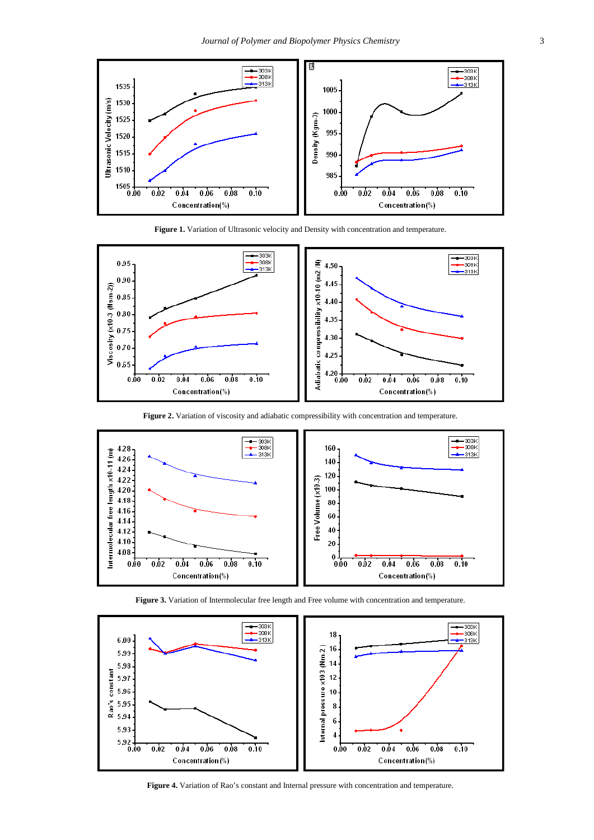<span id="page-2-0"></span>





**Figure 2.** Variation of viscosity and adiabatic compressibility with concentration and temperature.







**Figure 4.** Variation of Rao's constant and Internal pressure with concentration and temperature.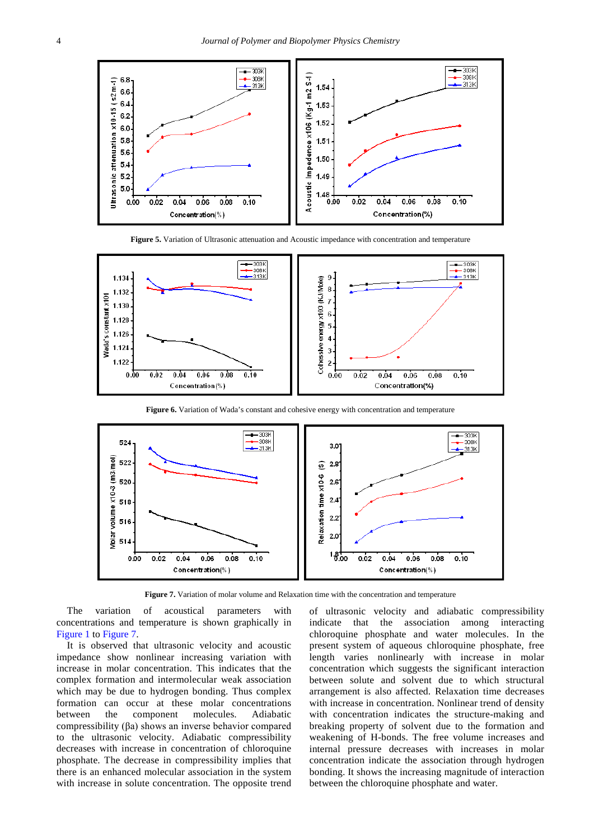





**Figure 6.** Variation of Wada's constant and cohesive energy with concentration and temperature

<span id="page-3-0"></span>

**Figure 7.** Variation of molar volume and Relaxation time with the concentration and temperature

The variation of acoustical parameters with concentrations and temperature is shown graphically in [Figure 1](#page-2-0) to [Figure 7.](#page-3-0)

It is observed that ultrasonic velocity and acoustic impedance show nonlinear increasing variation with increase in molar concentration. This indicates that the complex formation and intermolecular weak association which may be due to hydrogen bonding. Thus complex formation can occur at these molar concentrations between the component molecules. Adiabatic compressibility (βa) shows an inverse behavior compared to the ultrasonic velocity. Adiabatic compressibility decreases with increase in concentration of chloroquine phosphate. The decrease in compressibility implies that there is an enhanced molecular association in the system with increase in solute concentration. The opposite trend of ultrasonic velocity and adiabatic compressibility indicate that the association among interacting chloroquine phosphate and water molecules. In the present system of aqueous chloroquine phosphate, free length varies nonlinearly with increase in molar concentration which suggests the significant interaction between solute and solvent due to which structural arrangement is also affected. Relaxation time decreases with increase in concentration. Nonlinear trend of density with concentration indicates the structure-making and breaking property of solvent due to the formation and weakening of H-bonds. The free volume increases and internal pressure decreases with increases in molar concentration indicate the association through hydrogen bonding. It shows the increasing magnitude of interaction between the chloroquine phosphate and water.